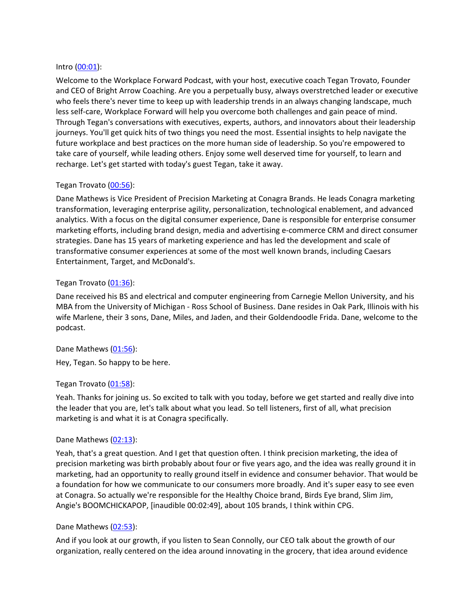#### Intro [\(00:01\)](https://www.rev.com/transcript-editor/Edit?token=dEbnZuiLPvwIJh3O_4gWwB4K33EMl6EGLgbXHTZrTMELF8ojpWeW9CdCHj905bszXzsIYsDv98lNOgrDXxOojKZcrf0&loadFrom=DocumentDeeplink&ts=1.28):

Welcome to the Workplace Forward Podcast, with your host, executive coach Tegan Trovato, Founder and CEO of Bright Arrow Coaching. Are you a perpetually busy, always overstretched leader or executive who feels there's never time to keep up with leadership trends in an always changing landscape, much less self-care, Workplace Forward will help you overcome both challenges and gain peace of mind. Through Tegan's conversations with executives, experts, authors, and innovators about their leadership journeys. You'll get quick hits of two things you need the most. Essential insights to help navigate the future workplace and best practices on the more human side of leadership. So you're empowered to take care of yourself, while leading others. Enjoy some well deserved time for yourself, to learn and recharge. Let's get started with today's guest Tegan, take it away.

## Tegan Trovato [\(00:56\)](https://www.rev.com/transcript-editor/Edit?token=zoHad6_IpEO1fre27ZdAPLEdlnXMmc0FR-UyYOkW7QULZaTOJlI7rmtTCLIjwxMP2HQDq91hTY23jMa29llbup8U3qE&loadFrom=DocumentDeeplink&ts=56.52):

Dane Mathews is Vice President of Precision Marketing at Conagra Brands. He leads Conagra marketing transformation, leveraging enterprise agility, personalization, technological enablement, and advanced analytics. With a focus on the digital consumer experience, Dane is responsible for enterprise consumer marketing efforts, including brand design, media and advertising e-commerce CRM and direct consumer strategies. Dane has 15 years of marketing experience and has led the development and scale of transformative consumer experiences at some of the most well known brands, including Caesars Entertainment, Target, and McDonald's.

#### Tegan Trovato [\(01:36\)](https://www.rev.com/transcript-editor/Edit?token=pWh97BtGqHOHrUr_m40v2kqwx8USgjxVsCz3dtu5MWDivkMlWRRllxAcusfFP1U_uyLff11JZyE49Hlma_olkX1maSY&loadFrom=DocumentDeeplink&ts=96.09):

Dane received his BS and electrical and computer engineering from Carnegie Mellon University, and his MBA from the University of Michigan - Ross School of Business. Dane resides in Oak Park, Illinois with his wife Marlene, their 3 sons, Dane, Miles, and Jaden, and their Goldendoodle Frida. Dane, welcome to the podcast.

Dane Mathews [\(01:56\)](https://www.rev.com/transcript-editor/Edit?token=WDDlZ6HgovlxeyczNfZJS5eXLZgkyNGtTf3n_qfGfqqUiASSD_9cKXfy78WR34BF4Ug8HbeXPQr8CUBWUKCsHgx7Pto&loadFrom=DocumentDeeplink&ts=116.67): Hey, Tegan. So happy to be here.

## Tegan Trovato [\(01:58\)](https://www.rev.com/transcript-editor/Edit?token=9fx2swp1LcE1gAdpzOzx16gY2hx-F039fmayNYvHfYk-phAzapiQkD5dHqU6xgzHZ_OiiPMP4YkNqpQKc53mfkDQnCY&loadFrom=DocumentDeeplink&ts=118.17):

Yeah. Thanks for joining us. So excited to talk with you today, before we get started and really dive into the leader that you are, let's talk about what you lead. So tell listeners, first of all, what precision marketing is and what it is at Conagra specifically.

#### Dane Mathews [\(02:13\)](https://www.rev.com/transcript-editor/Edit?token=5vyPShC0bujE6ycYX4_5XdEJKE-Tw1iqetI7HbBObyODJlCpBg-C0Ae5Zi6NfEvh5sHDoviY6Pd_zl7eWsDyuVE0JPg&loadFrom=DocumentDeeplink&ts=133.46):

Yeah, that's a great question. And I get that question often. I think precision marketing, the idea of precision marketing was birth probably about four or five years ago, and the idea was really ground it in marketing, had an opportunity to really ground itself in evidence and consumer behavior. That would be a foundation for how we communicate to our consumers more broadly. And it's super easy to see even at Conagra. So actually we're responsible for the Healthy Choice brand, Birds Eye brand, Slim Jim, Angie's BOOMCHICKAPOP, [inaudible 00:02:49], about 105 brands, I think within CPG.

## Dane Mathews [\(02:53\)](https://www.rev.com/transcript-editor/Edit?token=QCabXKvI3wMEqTdDnA31XJAw-F6ngTrnJG6M-S_sf8ByEaK3onas50k9Dyjael_zkeS7wuwTxeEaRob1H4CMFhZwsRw&loadFrom=DocumentDeeplink&ts=173.41):

And if you look at our growth, if you listen to Sean Connolly, our CEO talk about the growth of our organization, really centered on the idea around innovating in the grocery, that idea around evidence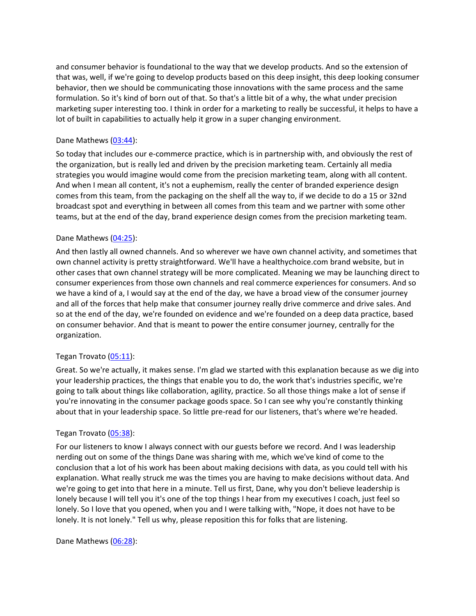and consumer behavior is foundational to the way that we develop products. And so the extension of that was, well, if we're going to develop products based on this deep insight, this deep looking consumer behavior, then we should be communicating those innovations with the same process and the same formulation. So it's kind of born out of that. So that's a little bit of a why, the what under precision marketing super interesting too. I think in order for a marketing to really be successful, it helps to have a lot of built in capabilities to actually help it grow in a super changing environment.

## Dane Mathews [\(03:44\)](https://www.rev.com/transcript-editor/Edit?token=7mZvxvJR2gWcceXdukPCfR6JveAOG95Zm6UHKU_yUPW-scHZ5l62RoO0X26AGo5wbySowgV16UGlUMy1rEYE9cxhNLc&loadFrom=DocumentDeeplink&ts=224.54):

So today that includes our e-commerce practice, which is in partnership with, and obviously the rest of the organization, but is really led and driven by the precision marketing team. Certainly all media strategies you would imagine would come from the precision marketing team, along with all content. And when I mean all content, it's not a euphemism, really the center of branded experience design comes from this team, from the packaging on the shelf all the way to, if we decide to do a 15 or 32nd broadcast spot and everything in between all comes from this team and we partner with some other teams, but at the end of the day, brand experience design comes from the precision marketing team.

# Dane Mathews [\(04:25\)](https://www.rev.com/transcript-editor/Edit?token=wIWsV1KwUfEa0bUSM8jYmQ6KUtuHAxuQzr8gwBK49SukLd_r1l9mRTl7zKxJ6MQfVtDkF9__MIj8Pq2lq5DvZVQ58Yw&loadFrom=DocumentDeeplink&ts=265.78):

And then lastly all owned channels. And so wherever we have own channel activity, and sometimes that own channel activity is pretty straightforward. We'll have a healthychoice.com brand website, but in other cases that own channel strategy will be more complicated. Meaning we may be launching direct to consumer experiences from those own channels and real commerce experiences for consumers. And so we have a kind of a, I would say at the end of the day, we have a broad view of the consumer journey and all of the forces that help make that consumer journey really drive commerce and drive sales. And so at the end of the day, we're founded on evidence and we're founded on a deep data practice, based on consumer behavior. And that is meant to power the entire consumer journey, centrally for the organization.

## Tegan Trovato [\(05:11\)](https://www.rev.com/transcript-editor/Edit?token=oUkyga2_rQXQQh8mVhI_X1SIi7elscU3y76ODA_hoPNuhErlF1bxgbGbFCitFRMrlDHTWeWswHVGPDdxs-qMiBk_BPM&loadFrom=DocumentDeeplink&ts=311.12):

Great. So we're actually, it makes sense. I'm glad we started with this explanation because as we dig into your leadership practices, the things that enable you to do, the work that's industries specific, we're going to talk about things like collaboration, agility, practice. So all those things make a lot of sense if you're innovating in the consumer package goods space. So I can see why you're constantly thinking about that in your leadership space. So little pre-read for our listeners, that's where we're headed.

## Tegan Trovato [\(05:38\)](https://www.rev.com/transcript-editor/Edit?token=bItfJxVkA3S7i2EPSy9TehL4hcJ8kSwV4WUtB5rqmwrMHFHI4Xd_615nrGXreOcsE-xx-MFQfNmixpJo_Fa13m0iwDU&loadFrom=DocumentDeeplink&ts=338.18):

For our listeners to know I always connect with our guests before we record. And I was leadership nerding out on some of the things Dane was sharing with me, which we've kind of come to the conclusion that a lot of his work has been about making decisions with data, as you could tell with his explanation. What really struck me was the times you are having to make decisions without data. And we're going to get into that here in a minute. Tell us first, Dane, why you don't believe leadership is lonely because I will tell you it's one of the top things I hear from my executives I coach, just feel so lonely. So I love that you opened, when you and I were talking with, "Nope, it does not have to be lonely. It is not lonely." Tell us why, please reposition this for folks that are listening.

## Dane Mathews [\(06:28\)](https://www.rev.com/transcript-editor/Edit?token=iNITSQDUaMGZcPgtAB1qNhU99NENI0QNYBys3JkVcavQpPzzFKzLcUGBXnwIwQKj_Dzp3BgAnvZfkOW8mxzOsULRGzI&loadFrom=DocumentDeeplink&ts=388.49):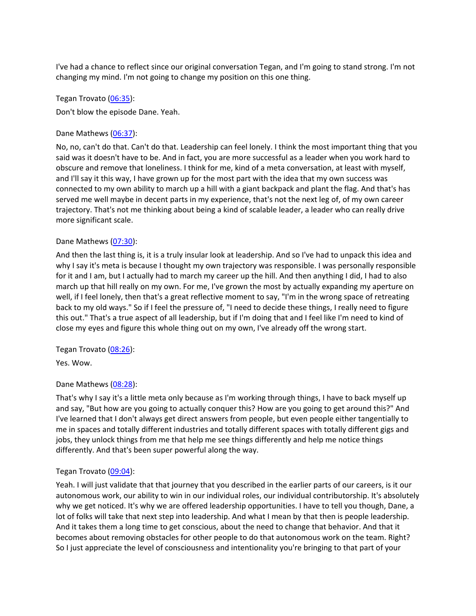I've had a chance to reflect since our original conversation Tegan, and I'm going to stand strong. I'm not changing my mind. I'm not going to change my position on this one thing.

Tegan Trovato [\(06:35\)](https://www.rev.com/transcript-editor/Edit?token=5nIthI90p0vCfXdpnbW4qKKeaovhU9-XDyNmzTaGDqoUNwFo2pWtfI0TI5GDh-P766Chc3HQ2jT_9y6vuH6QkGwxWME&loadFrom=DocumentDeeplink&ts=395.91): Don't blow the episode Dane. Yeah.

## Dane Mathews [\(06:37\)](https://www.rev.com/transcript-editor/Edit?token=XdzqXr7TAfDeAx9MYFWeyEHliFRTEYTSPjNWqfI5N9U0JF8C5_o51Gy-ZX322CcjV5k-Z7ko1YR4WYkMzJen5lbf8bY&loadFrom=DocumentDeeplink&ts=397.31):

No, no, can't do that. Can't do that. Leadership can feel lonely. I think the most important thing that you said was it doesn't have to be. And in fact, you are more successful as a leader when you work hard to obscure and remove that loneliness. I think for me, kind of a meta conversation, at least with myself, and I'll say it this way, I have grown up for the most part with the idea that my own success was connected to my own ability to march up a hill with a giant backpack and plant the flag. And that's has served me well maybe in decent parts in my experience, that's not the next leg of, of my own career trajectory. That's not me thinking about being a kind of scalable leader, a leader who can really drive more significant scale.

# Dane Mathews [\(07:30\)](https://www.rev.com/transcript-editor/Edit?token=bRo_gg_AUsWpkWA6PPdKQpDKyymUTmcUlK_olFjwg8ny5s96LVbIxz5gq9QjQP3U-2obRZIv8UqlT8vKxeOkNzQ4kdw&loadFrom=DocumentDeeplink&ts=450.49):

And then the last thing is, it is a truly insular look at leadership. And so I've had to unpack this idea and why I say it's meta is because I thought my own trajectory was responsible. I was personally responsible for it and I am, but I actually had to march my career up the hill. And then anything I did, I had to also march up that hill really on my own. For me, I've grown the most by actually expanding my aperture on well, if I feel lonely, then that's a great reflective moment to say, "I'm in the wrong space of retreating back to my old ways." So if I feel the pressure of, "I need to decide these things, I really need to figure this out." That's a true aspect of all leadership, but if I'm doing that and I feel like I'm need to kind of close my eyes and figure this whole thing out on my own, I've already off the wrong start.

## Tegan Trovato [\(08:26\)](https://www.rev.com/transcript-editor/Edit?token=obPQKqZh9TFyW0qf-Z2R43jBJbLfOt6tmDi34WevWEPDigIc91pZmjKxRK1NNtJhuaZGTNhZdY_mdyqFlLLLP_NUmEw&loadFrom=DocumentDeeplink&ts=506.22):

Yes. Wow.

## Dane Mathews [\(08:28\)](https://www.rev.com/transcript-editor/Edit?token=TO2xfmGQjE02Dmff5Jq1VQVkcsueZEft67hfCvPW2Y6EHAqMvLMvn6oWas9Yv1DljEvLUVjIrDZSLV4M9uqUlAeSmYU&loadFrom=DocumentDeeplink&ts=508.26):

That's why I say it's a little meta only because as I'm working through things, I have to back myself up and say, "But how are you going to actually conquer this? How are you going to get around this?" And I've learned that I don't always get direct answers from people, but even people either tangentially to me in spaces and totally different industries and totally different spaces with totally different gigs and jobs, they unlock things from me that help me see things differently and help me notice things differently. And that's been super powerful along the way.

## Tegan Trovato [\(09:04\)](https://www.rev.com/transcript-editor/Edit?token=J2wcX_9j7Nvh7xmog1dDh2Y-tPujnTsCyelXYQ79rPwyghsBId9jTBp0tCfQFmO5_gY2xv_zALKpiEB13b6mq3VpR_M&loadFrom=DocumentDeeplink&ts=544.12):

Yeah. I will just validate that that journey that you described in the earlier parts of our careers, is it our autonomous work, our ability to win in our individual roles, our individual contributorship. It's absolutely why we get noticed. It's why we are offered leadership opportunities. I have to tell you though, Dane, a lot of folks will take that next step into leadership. And what I mean by that then is people leadership. And it takes them a long time to get conscious, about the need to change that behavior. And that it becomes about removing obstacles for other people to do that autonomous work on the team. Right? So I just appreciate the level of consciousness and intentionality you're bringing to that part of your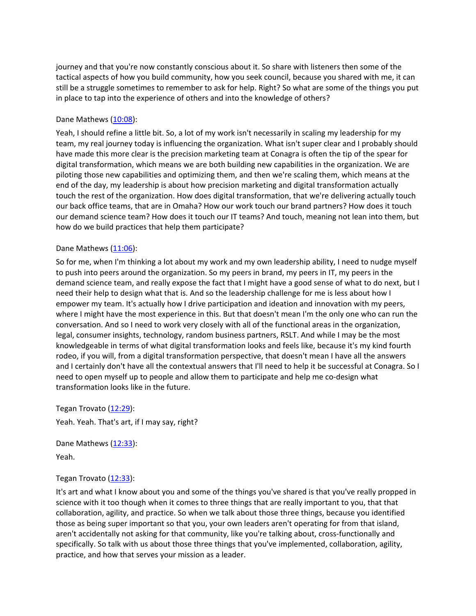journey and that you're now constantly conscious about it. So share with listeners then some of the tactical aspects of how you build community, how you seek council, because you shared with me, it can still be a struggle sometimes to remember to ask for help. Right? So what are some of the things you put in place to tap into the experience of others and into the knowledge of others?

## Dane Mathews [\(10:08\)](https://www.rev.com/transcript-editor/Edit?token=fhpv1cAhLw5-DyhnfrG1ma5PkiqzvydnYCjfYVWlV_ecvwlg-f3EKpvZfcdxXBEwkrUDKZaey13ysL0I5D4qPMGQcBI&loadFrom=DocumentDeeplink&ts=608.46):

Yeah, I should refine a little bit. So, a lot of my work isn't necessarily in scaling my leadership for my team, my real journey today is influencing the organization. What isn't super clear and I probably should have made this more clear is the precision marketing team at Conagra is often the tip of the spear for digital transformation, which means we are both building new capabilities in the organization. We are piloting those new capabilities and optimizing them, and then we're scaling them, which means at the end of the day, my leadership is about how precision marketing and digital transformation actually touch the rest of the organization. How does digital transformation, that we're delivering actually touch our back office teams, that are in Omaha? How our work touch our brand partners? How does it touch our demand science team? How does it touch our IT teams? And touch, meaning not lean into them, but how do we build practices that help them participate?

# Dane Mathews [\(11:06\)](https://www.rev.com/transcript-editor/Edit?token=Cm8b0hGtMV_0yV35Kw8QE-nlfSEC8ZkDyfm1XT2V7DXK6sr0l7flCc1lTwT5Xi7flIHegPlGSZLltbUeVw7vfXNdvO0&loadFrom=DocumentDeeplink&ts=666.79):

So for me, when I'm thinking a lot about my work and my own leadership ability, I need to nudge myself to push into peers around the organization. So my peers in brand, my peers in IT, my peers in the demand science team, and really expose the fact that I might have a good sense of what to do next, but I need their help to design what that is. And so the leadership challenge for me is less about how I empower my team. It's actually how I drive participation and ideation and innovation with my peers, where I might have the most experience in this. But that doesn't mean I'm the only one who can run the conversation. And so I need to work very closely with all of the functional areas in the organization, legal, consumer insights, technology, random business partners, RSLT. And while I may be the most knowledgeable in terms of what digital transformation looks and feels like, because it's my kind fourth rodeo, if you will, from a digital transformation perspective, that doesn't mean I have all the answers and I certainly don't have all the contextual answers that I'll need to help it be successful at Conagra. So I need to open myself up to people and allow them to participate and help me co-design what transformation looks like in the future.

Tegan Trovato [\(12:29\)](https://www.rev.com/transcript-editor/Edit?token=l6UPyiOtnXjlFXVd-6NZthpq3u3raxa1rCmnnW4Ne2TTqCETOcw1Simv5GZt2r-Suvbe9tKWGHJoKNvZXgP51beX6bM&loadFrom=DocumentDeeplink&ts=749.66): Yeah. Yeah. That's art, if I may say, right?

Dane Mathews [\(12:33\)](https://www.rev.com/transcript-editor/Edit?token=mdK_6bEZu3sLctTxwsShoPQ-eZ46VLEnxkYFV6D9Olx08udOVbbO3NEFDthm4iUEk23b_oZPv8vTYS5xkN6dZ42Sxpk&loadFrom=DocumentDeeplink&ts=753.21): Yeah.

## Tegan Trovato [\(12:33\)](https://www.rev.com/transcript-editor/Edit?token=o8ozzAnCtZ35ZmUIT_dAMw1aonOmtSNf4jAc3Q5xVMQV2-Z_QEGIpowza7h9UyWsp-RXIgFj_17k04tu6iDxAmmve3Y&loadFrom=DocumentDeeplink&ts=753.69):

It's art and what I know about you and some of the things you've shared is that you've really propped in science with it too though when it comes to three things that are really important to you, that that collaboration, agility, and practice. So when we talk about those three things, because you identified those as being super important so that you, your own leaders aren't operating for from that island, aren't accidentally not asking for that community, like you're talking about, cross-functionally and specifically. So talk with us about those three things that you've implemented, collaboration, agility, practice, and how that serves your mission as a leader.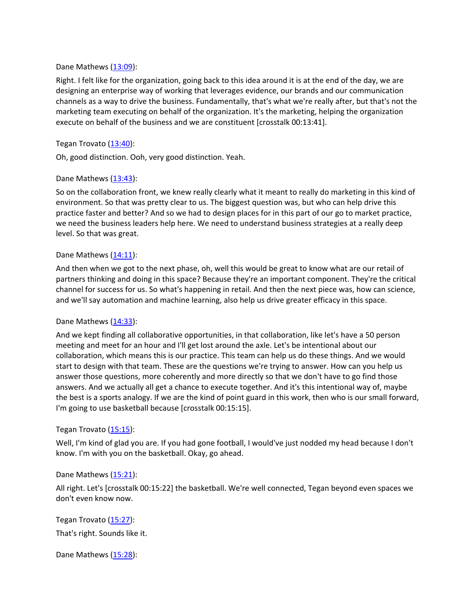## Dane Mathews [\(13:09\)](https://www.rev.com/transcript-editor/Edit?token=EsEBXH3wlWYeam4j5kRbhJ3lAJO7ggQa_Li7C9VRYsBsH8J5PT3LaU0LLHYNmCSIbsUWfiBJttR9302q4BiPKsR3pMI&loadFrom=DocumentDeeplink&ts=789.62):

Right. I felt like for the organization, going back to this idea around it is at the end of the day, we are designing an enterprise way of working that leverages evidence, our brands and our communication channels as a way to drive the business. Fundamentally, that's what we're really after, but that's not the marketing team executing on behalf of the organization. It's the marketing, helping the organization execute on behalf of the business and we are constituent [crosstalk 00:13:41].

# Tegan Trovato [\(13:40\)](https://www.rev.com/transcript-editor/Edit?token=FYU0ZF06r7OozRojmovFN9Waggx6-YA6kyWMTk-Z1XTtvvoE9wFWDQvoKayzOLgk9geXc3OJQb9YLyd9EggFJywIRYY&loadFrom=DocumentDeeplink&ts=820.69):

Oh, good distinction. Ooh, very good distinction. Yeah.

# Dane Mathews  $(13:43)$ :

So on the collaboration front, we knew really clearly what it meant to really do marketing in this kind of environment. So that was pretty clear to us. The biggest question was, but who can help drive this practice faster and better? And so we had to design places for in this part of our go to market practice, we need the business leaders help here. We need to understand business strategies at a really deep level. So that was great.

## Dane Mathews  $(14:11)$ :

And then when we got to the next phase, oh, well this would be great to know what are our retail of partners thinking and doing in this space? Because they're an important component. They're the critical channel for success for us. So what's happening in retail. And then the next piece was, how can science, and we'll say automation and machine learning, also help us drive greater efficacy in this space.

## Dane Mathews [\(14:33\)](https://www.rev.com/transcript-editor/Edit?token=UQpIR0177KucjoBJ8FZ66qKR67j1v8wJBRr9Y_5R0OI6GPSYoIRqh2rHjQvvnfBy1rz99c_2X06B8KYdYfOha8YxVyE&loadFrom=DocumentDeeplink&ts=873.51):

And we kept finding all collaborative opportunities, in that collaboration, like let's have a 50 person meeting and meet for an hour and I'll get lost around the axle. Let's be intentional about our collaboration, which means this is our practice. This team can help us do these things. And we would start to design with that team. These are the questions we're trying to answer. How can you help us answer those questions, more coherently and more directly so that we don't have to go find those answers. And we actually all get a chance to execute together. And it's this intentional way of, maybe the best is a sports analogy. If we are the kind of point guard in this work, then who is our small forward, I'm going to use basketball because [crosstalk 00:15:15].

## Tegan Trovato [\(15:15\)](https://www.rev.com/transcript-editor/Edit?token=1lAY0huBJQ_KHJY1HlBj8kSf-q35X9oJzFgH-EzMkCz3wzPzk4-yn4uHXzglGiFbdCg2THiJRWiX2JlpFr6cuYmcNx8&loadFrom=DocumentDeeplink&ts=915.38):

Well, I'm kind of glad you are. If you had gone football, I would've just nodded my head because I don't know. I'm with you on the basketball. Okay, go ahead.

## Dane Mathews [\(15:21\)](https://www.rev.com/transcript-editor/Edit?token=WEirM6LwaDbx5HAJYhvoTpz_5_gir7mr9qtg14oLsSrkwJOR_PJ4AuJaA9F26D4WlGVjOYozl7Mx1mU3NESotZ67Phw&loadFrom=DocumentDeeplink&ts=921.07):

All right. Let's [crosstalk 00:15:22] the basketball. We're well connected, Tegan beyond even spaces we don't even know now.

Tegan Trovato [\(15:27\)](https://www.rev.com/transcript-editor/Edit?token=_d4p5qEEk8DlscTqhx-Ge3mp16MGxn06IDS4o4lWdF_BxJOJRnl5A_BDOQ2_nVHK48bovKoZl5VjAI51vkAFUQFzQcU&loadFrom=DocumentDeeplink&ts=927.31): That's right. Sounds like it.

Dane Mathews [\(15:28\)](https://www.rev.com/transcript-editor/Edit?token=d7nCOjwd8S5Hvai7VEoHdEqCGwgY3HfD1VFF3WRs9ezzAPhg90ef3wUHTMR1mGYfRYymoBm9lmAtnkDB3XXTmDoyZaI&loadFrom=DocumentDeeplink&ts=928.92):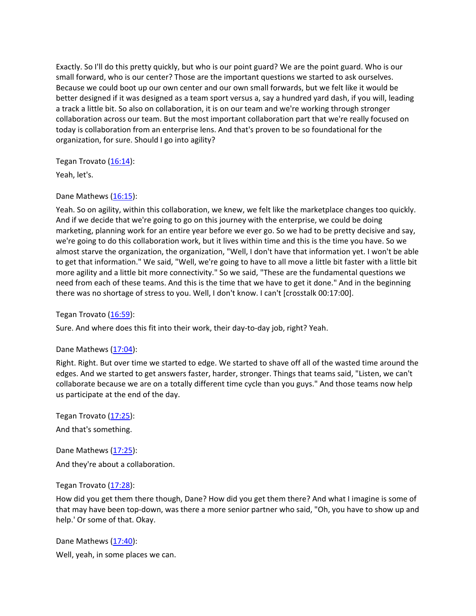Exactly. So I'll do this pretty quickly, but who is our point guard? We are the point guard. Who is our small forward, who is our center? Those are the important questions we started to ask ourselves. Because we could boot up our own center and our own small forwards, but we felt like it would be better designed if it was designed as a team sport versus a, say a hundred yard dash, if you will, leading a track a little bit. So also on collaboration, it is on our team and we're working through stronger collaboration across our team. But the most important collaboration part that we're really focused on today is collaboration from an enterprise lens. And that's proven to be so foundational for the organization, for sure. Should I go into agility?

Tegan Trovato [\(16:14\)](https://www.rev.com/transcript-editor/Edit?token=p3TqwEUiqlBmch0scsUyoCaeYePPHqvyqbeifST4SU4746OUQG3u5e_8iCrdOe7gT4BYrjDzZDwSTgi78sagQDj84mE&loadFrom=DocumentDeeplink&ts=974.11):

Yeah, let's.

# Dane Mathews [\(16:15\)](https://www.rev.com/transcript-editor/Edit?token=WxZ9IgUGkzBWo1_cCW7NYzkV0fMLmmsQko27QBCC5MYGnj1XGb88LXGe7FXnjlaCJBCVwEuY7ky1IHAPg2SBwqeuXaM&loadFrom=DocumentDeeplink&ts=975.61):

Yeah. So on agility, within this collaboration, we knew, we felt like the marketplace changes too quickly. And if we decide that we're going to go on this journey with the enterprise, we could be doing marketing, planning work for an entire year before we ever go. So we had to be pretty decisive and say, we're going to do this collaboration work, but it lives within time and this is the time you have. So we almost starve the organization, the organization, "Well, I don't have that information yet. I won't be able to get that information." We said, "Well, we're going to have to all move a little bit faster with a little bit more agility and a little bit more connectivity." So we said, "These are the fundamental questions we need from each of these teams. And this is the time that we have to get it done." And in the beginning there was no shortage of stress to you. Well, I don't know. I can't [crosstalk 00:17:00].

Tegan Trovato [\(16:59\)](https://www.rev.com/transcript-editor/Edit?token=Rbi3hSRgniEoarxVAuDqWRhX2Aa4DlFaBAyoab1FZaXgmrHS-DIbXUYGxBn4Cw_DEAwwW2d1F6Y5c9fN4o8Ggn6G03Q&loadFrom=DocumentDeeplink&ts=1019.98):

Sure. And where does this fit into their work, their day-to-day job, right? Yeah.

## Dane Mathews [\(17:04\)](https://www.rev.com/transcript-editor/Edit?token=n59RaE8kuDGCHTdTIam2qDeheiws_rKuRJ3yeqYmOXEN_6e-qQDR5AQPI04UttmrRzN_lUKQJDQrK1zKctpETff1PyE&loadFrom=DocumentDeeplink&ts=1024.47):

Right. Right. But over time we started to edge. We started to shave off all of the wasted time around the edges. And we started to get answers faster, harder, stronger. Things that teams said, "Listen, we can't collaborate because we are on a totally different time cycle than you guys." And those teams now help us participate at the end of the day.

Tegan Trovato [\(17:25\)](https://www.rev.com/transcript-editor/Edit?token=x5obsKB3gXU_7mCvIJFKJUZYmgdzjpe9NWaPPlGFTaWPQQt6ntFSZky8VGBtA7VcFxwvLDU0p94XsEiecQXypX85foc&loadFrom=DocumentDeeplink&ts=1045.3): And that's something.

Dane Mathews [\(17:25\)](https://www.rev.com/transcript-editor/Edit?token=BZojWbcHbWvblw1JPqvDIm6S2DUY47TjAGIiMlSg3uS8cnPA2TNE5TQJE8ocaIYEiohaszpzHHXf-M1FgPCMZBoTLys&loadFrom=DocumentDeeplink&ts=1045.71): And they're about a collaboration.

## Tegan Trovato [\(17:28\)](https://www.rev.com/transcript-editor/Edit?token=SPIU2gcbXwJTtEhoIt_WsSOlm-Yth-1KWfgq_ixtoHeJiwq_5KcWgNZX6eainc_1_KlwjSbofgmekcdEktEui9GWj5U&loadFrom=DocumentDeeplink&ts=1048.29):

How did you get them there though, Dane? How did you get them there? And what I imagine is some of that may have been top-down, was there a more senior partner who said, "Oh, you have to show up and help.' Or some of that. Okay.

Dane Mathews [\(17:40\)](https://www.rev.com/transcript-editor/Edit?token=mfwuQR2oA9WJS1o1k8yG3aiu7XKcRyca_Oe1GNzAm5uTnXR507DJxaHPdCB80mXuxIf2kMG-Q-aEJ8FHRJQC9wmAxMI&loadFrom=DocumentDeeplink&ts=1060.35): Well, yeah, in some places we can.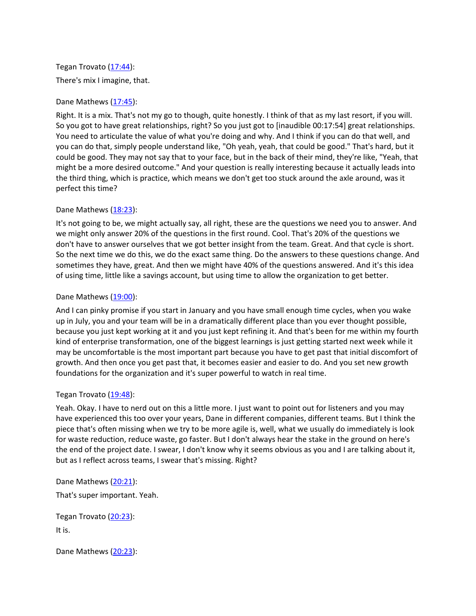# Tegan Trovato [\(17:44\)](https://www.rev.com/transcript-editor/Edit?token=c-l0Tw-2puo551AquDYrI6oNNlHYmOZT6eV_0Gu-zd8a3UuFCIiMfC7ntAQnwW-Ya4zhsMrFBv2QcWkK0PnQy2Uk-40&loadFrom=DocumentDeeplink&ts=1064.04): There's mix I imagine, that.

# Dane Mathews [\(17:45\)](https://www.rev.com/transcript-editor/Edit?token=aT6OrsoWqWi7sDN8upMYX_hiGg1vdmhWuzKI5iYHNnqGT0cfNz-G71svAadFhBVkYzYRr5Yvl591KjL1qqJIkIKtoKU&loadFrom=DocumentDeeplink&ts=1065.06):

Right. It is a mix. That's not my go to though, quite honestly. I think of that as my last resort, if you will. So you got to have great relationships, right? So you just got to [inaudible 00:17:54] great relationships. You need to articulate the value of what you're doing and why. And I think if you can do that well, and you can do that, simply people understand like, "Oh yeah, yeah, that could be good." That's hard, but it could be good. They may not say that to your face, but in the back of their mind, they're like, "Yeah, that might be a more desired outcome." And your question is really interesting because it actually leads into the third thing, which is practice, which means we don't get too stuck around the axle around, was it perfect this time?

# Dane Mathews [\(18:23\)](https://www.rev.com/transcript-editor/Edit?token=yA5FWbNzm6v3Omy_0vjiUZtjiM-PxDqyM9WPmNEeDC5mfu1R8DO5mRrhcHKCprKVgoBuf1crmsoATitjv3d_gxLUCms&loadFrom=DocumentDeeplink&ts=1103.03):

It's not going to be, we might actually say, all right, these are the questions we need you to answer. And we might only answer 20% of the questions in the first round. Cool. That's 20% of the questions we don't have to answer ourselves that we got better insight from the team. Great. And that cycle is short. So the next time we do this, we do the exact same thing. Do the answers to these questions change. And sometimes they have, great. And then we might have 40% of the questions answered. And it's this idea of using time, little like a savings account, but using time to allow the organization to get better.

# Dane Mathews [\(19:00\)](https://www.rev.com/transcript-editor/Edit?token=CrghPGX-PI3ngI6E4ggDBu8CGUjcQliQ4wZyfxor2bjJ5nMtrNCui2euNVf689yzzUzWDGHFasbb1r1Tc2IRNg1wlL8&loadFrom=DocumentDeeplink&ts=1140.5):

And I can pinky promise if you start in January and you have small enough time cycles, when you wake up in July, you and your team will be in a dramatically different place than you ever thought possible, because you just kept working at it and you just kept refining it. And that's been for me within my fourth kind of enterprise transformation, one of the biggest learnings is just getting started next week while it may be uncomfortable is the most important part because you have to get past that initial discomfort of growth. And then once you get past that, it becomes easier and easier to do. And you set new growth foundations for the organization and it's super powerful to watch in real time.

## Tegan Trovato [\(19:48\)](https://www.rev.com/transcript-editor/Edit?token=SnIYb1yheunld9sCtdAwNI1s6UvWlGLq78pP4wXu0hJtqRBjkxjNwxIeFv0m2627b5ImSQmuZYp8cL9uYoWRpom8L1c&loadFrom=DocumentDeeplink&ts=1188.4):

Yeah. Okay. I have to nerd out on this a little more. I just want to point out for listeners and you may have experienced this too over your years, Dane in different companies, different teams. But I think the piece that's often missing when we try to be more agile is, well, what we usually do immediately is look for waste reduction, reduce waste, go faster. But I don't always hear the stake in the ground on here's the end of the project date. I swear, I don't know why it seems obvious as you and I are talking about it, but as I reflect across teams, I swear that's missing. Right?

Dane Mathews [\(20:21\)](https://www.rev.com/transcript-editor/Edit?token=GCulZEseL5OcGuGqTQrAS1q73MdN5zsWNqKg1sYBQRCjGzxy6BN4f4mx-OJJY766t57omKrKxodISQ9dFNDDPNs5_Pw&loadFrom=DocumentDeeplink&ts=1221.68):

That's super important. Yeah.

Tegan Trovato [\(20:23\)](https://www.rev.com/transcript-editor/Edit?token=wMIoSPK7R3GlpkGtOJZwN4YQZ-Qpu1psOMaxzzqIm_6Vj99DUCOx-fE5afFL5so_5mp6jSvjzZL-SsjUjkzt1W3OJTw&loadFrom=DocumentDeeplink&ts=1223.51): It is.

Dane Mathews [\(20:23\)](https://www.rev.com/transcript-editor/Edit?token=pDZQTRmjD6JOZB3KKZXgEvwVcBLKldXhWIdnSMyJ2ycRYGcPJGap1Un16xOTThoYZQvVsV4eEql5_QCUk07o_5gIuaA&loadFrom=DocumentDeeplink&ts=1223.59):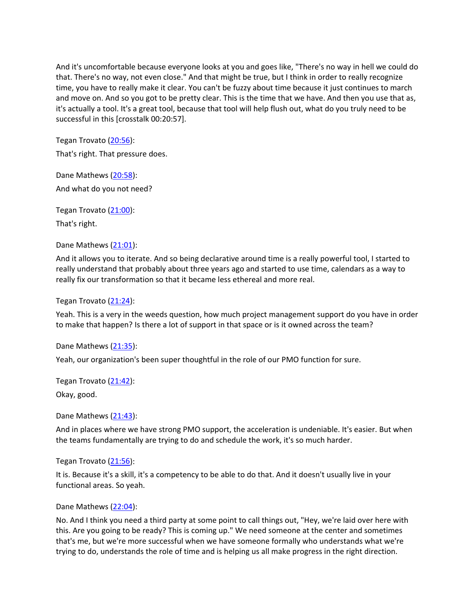And it's uncomfortable because everyone looks at you and goes like, "There's no way in hell we could do that. There's no way, not even close." And that might be true, but I think in order to really recognize time, you have to really make it clear. You can't be fuzzy about time because it just continues to march and move on. And so you got to be pretty clear. This is the time that we have. And then you use that as, it's actually a tool. It's a great tool, because that tool will help flush out, what do you truly need to be successful in this [crosstalk 00:20:57].

Tegan Trovato [\(20:56\)](https://www.rev.com/transcript-editor/Edit?token=X6tlb7y579dshx4yVSaEZ3759NQhc6AYJhvS5Zoxxx8PTp8x0WlcBpUwPazQhvXkozJyBigRDIoYrvENdPoCDjOTj5U&loadFrom=DocumentDeeplink&ts=1256.97):

That's right. That pressure does.

Dane Mathews [\(20:58\)](https://www.rev.com/transcript-editor/Edit?token=qavdrWpG6PjIQyGpzvVxkEQBydGkuAfKqdXZVqsXZg3GtrndnLJnNPR_SllT9MYAyLl8gaMoM3Z-MNikBvze-EFWwnI&loadFrom=DocumentDeeplink&ts=1258.26): And what do you not need?

Tegan Trovato [\(21:00\)](https://www.rev.com/transcript-editor/Edit?token=bSydtJgcYMVzx7u5k3pAUY05uiZEIYDre41OpKUVKXNV2G6JalVvT9lplYFceCb2OE6b81KsJaepRmtLYGpfmNSg42s&loadFrom=DocumentDeeplink&ts=1260.66): That's right.

Dane Mathews [\(21:01\)](https://www.rev.com/transcript-editor/Edit?token=BpdSKa91VmR0QtPUHDPcLSYQSU7RiM7m04dnTYQ48QL6_C0lLkNWmpSk1O9sj7TTTp7nrGSRD50YbYfaYcHCv6d2j3g&loadFrom=DocumentDeeplink&ts=1261.55):

And it allows you to iterate. And so being declarative around time is a really powerful tool, I started to really understand that probably about three years ago and started to use time, calendars as a way to really fix our transformation so that it became less ethereal and more real.

Tegan Trovato [\(21:24\)](https://www.rev.com/transcript-editor/Edit?token=M9w-fQTGCzSiKaFCIVDukTUYdMsUpX2x_cA5E8eYSd_ZfYy1QeXrF1unCgA4ewoqn_LdM8C5bX2s5BlsXKDGZVmK7bU&loadFrom=DocumentDeeplink&ts=1284.04):

Yeah. This is a very in the weeds question, how much project management support do you have in order to make that happen? Is there a lot of support in that space or is it owned across the team?

Dane Mathews [\(21:35\)](https://www.rev.com/transcript-editor/Edit?token=Sg5Gq-ooJ3-C4E7e9OvZOsRfwXF_ettbmfCchk8Ci6OjcyQ7w93bPuG721IJ5JvA5L_qwsfur-QZ13SErxQu_P9Bq3I&loadFrom=DocumentDeeplink&ts=1295.52):

Yeah, our organization's been super thoughtful in the role of our PMO function for sure.

Tegan Trovato [\(21:42\)](https://www.rev.com/transcript-editor/Edit?token=4w1pI4obDJxQdwOrms3yn4Eh4lAp4PxiqKQTBf58hlT_B5814vumyaXhkaxVRJETd1YakXDfCxrzNdFSYQPN0VrDyGg&loadFrom=DocumentDeeplink&ts=1302.78): Okay, good.

Dane Mathews [\(21:43\)](https://www.rev.com/transcript-editor/Edit?token=9br-SqZqtcxs4Pe5HC_k9YkCeHlmYvQ_vII3fK5rFiJXO5uuITSa0nmY2vTs5pelTbVvEF_ky4mtGGabZQ8XHOU9CHQ&loadFrom=DocumentDeeplink&ts=1303.5):

And in places where we have strong PMO support, the acceleration is undeniable. It's easier. But when the teams fundamentally are trying to do and schedule the work, it's so much harder.

Tegan Trovato [\(21:56\)](https://www.rev.com/transcript-editor/Edit?token=n5HIqG3mjMV_hqXE-zsNHmRErI8KX9tFMij4dG-NVub5R_mp37GmQeztlPSOwxP9R-lPTh8swLR-OC1QwZ3oY4glwno&loadFrom=DocumentDeeplink&ts=1316.7):

It is. Because it's a skill, it's a competency to be able to do that. And it doesn't usually live in your functional areas. So yeah.

#### Dane Mathews [\(22:04\)](https://www.rev.com/transcript-editor/Edit?token=7d4EGrXbrI8ZijZPm34UJyumnjIgC9qdF8-O48zE92-cly4RzotGtsSsfE9q89vxNmlvS8Ame3jMjbYtVaiveMWPW4M&loadFrom=DocumentDeeplink&ts=1324.74):

No. And I think you need a third party at some point to call things out, "Hey, we're laid over here with this. Are you going to be ready? This is coming up." We need someone at the center and sometimes that's me, but we're more successful when we have someone formally who understands what we're trying to do, understands the role of time and is helping us all make progress in the right direction.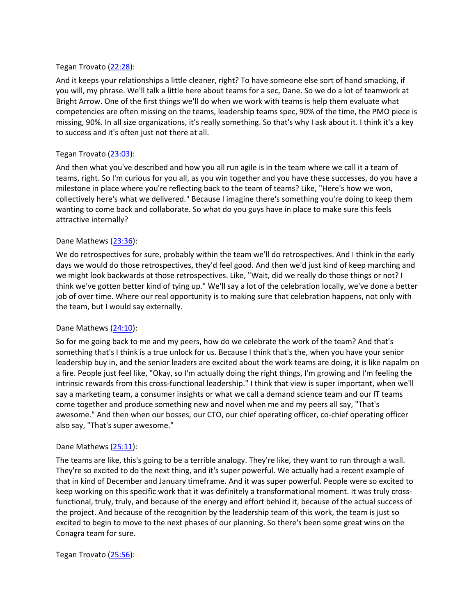### Tegan Trovato [\(22:28\)](https://www.rev.com/transcript-editor/Edit?token=HCUF0qlkssP10i7DD72XgHxn5SDhVYqo9SUnjcOSyNXHR5ZMDAmQdkDSjiAilEP2wg-RYBnkIXYzTrquTij93tjtmUU&loadFrom=DocumentDeeplink&ts=1348.85):

And it keeps your relationships a little cleaner, right? To have someone else sort of hand smacking, if you will, my phrase. We'll talk a little here about teams for a sec, Dane. So we do a lot of teamwork at Bright Arrow. One of the first things we'll do when we work with teams is help them evaluate what competencies are often missing on the teams, leadership teams spec, 90% of the time, the PMO piece is missing, 90%. In all size organizations, it's really something. So that's why I ask about it. I think it's a key to success and it's often just not there at all.

### Tegan Trovato [\(23:03\)](https://www.rev.com/transcript-editor/Edit?token=zUi6UAH_IepbKtg-sbXsPZs7B5nnBVf8wXuhX2zl8qhUtiDNutUEO7tcooO2rBtVAm8G2imikg91pe2LQMg4t9VJ0GI&loadFrom=DocumentDeeplink&ts=1383.45):

And then what you've described and how you all run agile is in the team where we call it a team of teams, right. So I'm curious for you all, as you win together and you have these successes, do you have a milestone in place where you're reflecting back to the team of teams? Like, "Here's how we won, collectively here's what we delivered." Because I imagine there's something you're doing to keep them wanting to come back and collaborate. So what do you guys have in place to make sure this feels attractive internally?

#### Dane Mathews [\(23:36\)](https://www.rev.com/transcript-editor/Edit?token=2EMDIfeS9NnAqPuHnDPTHHhNoRXfJWxVEu3I7atVsy5XFrwk8rAagIbd7VBnHHfcncwW8uWWJWcFjwG0dXrafXCJxZ4&loadFrom=DocumentDeeplink&ts=1416.72):

We do retrospectives for sure, probably within the team we'll do retrospectives. And I think in the early days we would do those retrospectives, they'd feel good. And then we'd just kind of keep marching and we might look backwards at those retrospectives. Like, "Wait, did we really do those things or not? I think we've gotten better kind of tying up." We'll say a lot of the celebration locally, we've done a better job of over time. Where our real opportunity is to making sure that celebration happens, not only with the team, but I would say externally.

#### Dane Mathews [\(24:10\)](https://www.rev.com/transcript-editor/Edit?token=ouK0DrcgugdCAiW1nNOEBm5aVWGtFP_PEgsRpK4kdQjbez6LHHDWymNS8hjD44RzU-ZV_X5qviB7YESCjSe6FtZueGA&loadFrom=DocumentDeeplink&ts=1450.4):

So for me going back to me and my peers, how do we celebrate the work of the team? And that's something that's I think is a true unlock for us. Because I think that's the, when you have your senior leadership buy in, and the senior leaders are excited about the work teams are doing, it is like napalm on a fire. People just feel like, "Okay, so I'm actually doing the right things, I'm growing and I'm feeling the intrinsic rewards from this cross-functional leadership." I think that view is super important, when we'll say a marketing team, a consumer insights or what we call a demand science team and our IT teams come together and produce something new and novel when me and my peers all say, "That's awesome." And then when our bosses, our CTO, our chief operating officer, co-chief operating officer also say, "That's super awesome."

#### Dane Mathews [\(25:11\)](https://www.rev.com/transcript-editor/Edit?token=-01c6jl7FIeafByUJ0v7JRbA1pB-aSy9w0dF01WzzoJ7vZkZq2PqxgS7aVTl09IuQtpu5YhygLRQzLvV17CBKI7HTMg&loadFrom=DocumentDeeplink&ts=1511.62):

The teams are like, this's going to be a terrible analogy. They're like, they want to run through a wall. They're so excited to do the next thing, and it's super powerful. We actually had a recent example of that in kind of December and January timeframe. And it was super powerful. People were so excited to keep working on this specific work that it was definitely a transformational moment. It was truly crossfunctional, truly, truly, and because of the energy and effort behind it, because of the actual success of the project. And because of the recognition by the leadership team of this work, the team is just so excited to begin to move to the next phases of our planning. So there's been some great wins on the Conagra team for sure.

Tegan Trovato [\(25:56\)](https://www.rev.com/transcript-editor/Edit?token=Zl7LYJpvMwkUIZ030NnJw8HcIRnhE0gVBMqfpDOvzNHcfVCAJAfexFslYa-PD2XFuZvZ8O_yjn97ErKLX2S2CpR8tKA&loadFrom=DocumentDeeplink&ts=1556.72):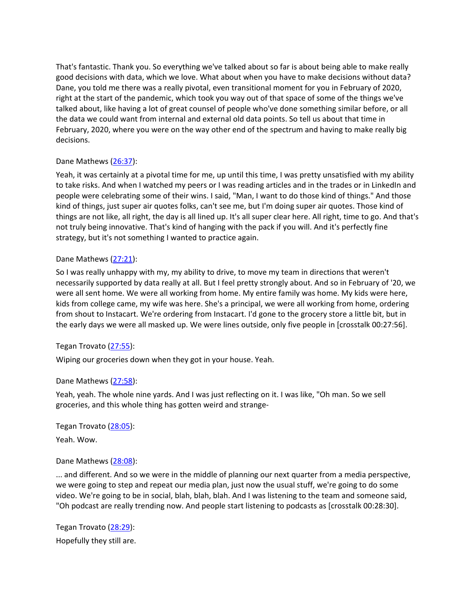That's fantastic. Thank you. So everything we've talked about so far is about being able to make really good decisions with data, which we love. What about when you have to make decisions without data? Dane, you told me there was a really pivotal, even transitional moment for you in February of 2020, right at the start of the pandemic, which took you way out of that space of some of the things we've talked about, like having a lot of great counsel of people who've done something similar before, or all the data we could want from internal and external old data points. So tell us about that time in February, 2020, where you were on the way other end of the spectrum and having to make really big decisions.

# Dane Mathews [\(26:37\)](https://www.rev.com/transcript-editor/Edit?token=Qhh7mVCOw12W9vABxBYqTeowBzaAelTCiQd2rznaP8VvEMqcV1JIauSGn6EMxzrhS1_6YKCXQewyFNrT6yyQVKcifAw&loadFrom=DocumentDeeplink&ts=1597.63):

Yeah, it was certainly at a pivotal time for me, up until this time, I was pretty unsatisfied with my ability to take risks. And when I watched my peers or I was reading articles and in the trades or in LinkedIn and people were celebrating some of their wins. I said, "Man, I want to do those kind of things." And those kind of things, just super air quotes folks, can't see me, but I'm doing super air quotes. Those kind of things are not like, all right, the day is all lined up. It's all super clear here. All right, time to go. And that's not truly being innovative. That's kind of hanging with the pack if you will. And it's perfectly fine strategy, but it's not something I wanted to practice again.

## Dane Mathews [\(27:21\)](https://www.rev.com/transcript-editor/Edit?token=d_QQmJSVg0fT_zbasa81sq9W5OwgdJTyyiupBiNZUSQHIwHn3uauEyzYDqD7GYfyDiLskOYdUYQvJWttHC2kTGkqM0E&loadFrom=DocumentDeeplink&ts=1641.55):

So I was really unhappy with my, my ability to drive, to move my team in directions that weren't necessarily supported by data really at all. But I feel pretty strongly about. And so in February of '20, we were all sent home. We were all working from home. My entire family was home. My kids were here, kids from college came, my wife was here. She's a principal, we were all working from home, ordering from shout to Instacart. We're ordering from Instacart. I'd gone to the grocery store a little bit, but in the early days we were all masked up. We were lines outside, only five people in [crosstalk 00:27:56].

## Tegan Trovato [\(27:55\)](https://www.rev.com/transcript-editor/Edit?token=mfMWS2hRuxp8nLJPZP5J2S5R772I2Zsph79erJm2JjEckDEqYzh3XrL1X9zX1iSPrQVHNp3n1zajV3ItBH5CtcSdCak&loadFrom=DocumentDeeplink&ts=1675.83):

Wiping our groceries down when they got in your house. Yeah.

## Dane Mathews [\(27:58\)](https://www.rev.com/transcript-editor/Edit?token=LWQKMkL-7Si9Dayxa1YMiy_QXWdO5i4ICYYCJ5CQjNm3icOkwbns8LYCp6eL7_4bVZSe4bBQsm4BCIQ4rRWKdtFmL3I&loadFrom=DocumentDeeplink&ts=1678.83):

Yeah, yeah. The whole nine yards. And I was just reflecting on it. I was like, "Oh man. So we sell groceries, and this whole thing has gotten weird and strange-

Tegan Trovato [\(28:05\)](https://www.rev.com/transcript-editor/Edit?token=_Wf3BqJNvkAL_m3dMmlzRKaMlWP6v_Hj8z8sCz7xlFu6r2GM5eg9-poQaLkABwCGmdPGy6yH38qqRf8oTu_eZXDNS4M&loadFrom=DocumentDeeplink&ts=1685.79):

Yeah. Wow.

## Dane Mathews [\(28:08\)](https://www.rev.com/transcript-editor/Edit?token=ib5boy9hLRwSUlxSsnZdHYA44qdUQSJ6jP1WaQasEg_3k1VvU5fEZvLoKnvujAlz0LhhtscchZWKkQ7fGYby_GhGrsQ&loadFrom=DocumentDeeplink&ts=1688.4):

... and different. And so we were in the middle of planning our next quarter from a media perspective, we were going to step and repeat our media plan, just now the usual stuff, we're going to do some video. We're going to be in social, blah, blah, blah. And I was listening to the team and someone said, "Oh podcast are really trending now. And people start listening to podcasts as [crosstalk 00:28:30].

Tegan Trovato [\(28:29\)](https://www.rev.com/transcript-editor/Edit?token=e04LiimmZ1PTJzb1WTY-P5ALL-KAnlFKvTRqpP6uKHP6gVDQXvCvpIbkL40uGb8a4-Pv3yXaQ3HA0CtIfqSq6Qge1oA&loadFrom=DocumentDeeplink&ts=1709.94): Hopefully they still are.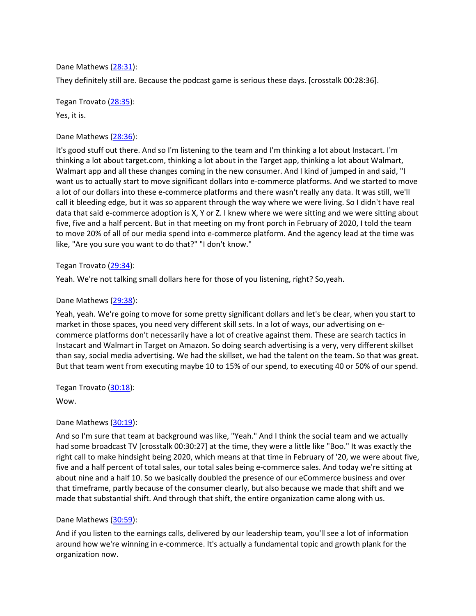Dane Mathews [\(28:31\)](https://www.rev.com/transcript-editor/Edit?token=G4iyk3XEFl7K0VBD-aAzzEQOoHygpwrd_agZC6Sj5zeNZce3zsGiucd6wPAbmzrzFVswMyZju7UfLczQg6bqFppGMrI&loadFrom=DocumentDeeplink&ts=1711.69):

They definitely still are. Because the podcast game is serious these days. [crosstalk 00:28:36].

Tegan Trovato [\(28:35\)](https://www.rev.com/transcript-editor/Edit?token=_dtayTYCQWmMAzYDTGm8lTbf0NqhnqITT_svEcUROS6ELqSMtro-w3kLUch4lKjMJkPCFEwDluuB0WoUkIFUgdbM3lk&loadFrom=DocumentDeeplink&ts=1715.56):

Yes, it is.

## Dane Mathews [\(28:36\)](https://www.rev.com/transcript-editor/Edit?token=_NPqWDAGyHA6ntsrS_ztYdGdLLtwwZIoWfLTPEvygG7CcR7ZvzFKB1lzLPfyzjKtXcrYHMemNg_Pgw5h0ciwXWeWiwQ&loadFrom=DocumentDeeplink&ts=1716.78):

It's good stuff out there. And so I'm listening to the team and I'm thinking a lot about Instacart. I'm thinking a lot about target.com, thinking a lot about in the Target app, thinking a lot about Walmart, Walmart app and all these changes coming in the new consumer. And I kind of jumped in and said, "I want us to actually start to move significant dollars into e-commerce platforms. And we started to move a lot of our dollars into these e-commerce platforms and there wasn't really any data. It was still, we'll call it bleeding edge, but it was so apparent through the way where we were living. So I didn't have real data that said e-commerce adoption is X, Y or Z. I knew where we were sitting and we were sitting about five, five and a half percent. But in that meeting on my front porch in February of 2020, I told the team to move 20% of all of our media spend into e-commerce platform. And the agency lead at the time was like, "Are you sure you want to do that?" "I don't know."

## Tegan Trovato [\(29:34\)](https://www.rev.com/transcript-editor/Edit?token=0n7qkOZ76SOXRPwpiiCqxCmqdiF4chERjS7ZhW5v3na6KGaHydUkgx3rPY5LXpbRat3EB1x5GnJYYHHM_i6Ltgpd5Dw&loadFrom=DocumentDeeplink&ts=1774.11):

Yeah. We're not talking small dollars here for those of you listening, right? So,yeah.

## Dane Mathews [\(29:38\)](https://www.rev.com/transcript-editor/Edit?token=9dLaOU0K-tqLGqeCUGtqct9GPMqBB4eQ6voyhJ-SdXX9EStE_MbmJlpsick-JfVvbEfUoWSrLPTovXiCv0fSl-0kqVI&loadFrom=DocumentDeeplink&ts=1778.71):

Yeah, yeah. We're going to move for some pretty significant dollars and let's be clear, when you start to market in those spaces, you need very different skill sets. In a lot of ways, our advertising on ecommerce platforms don't necessarily have a lot of creative against them. These are search tactics in Instacart and Walmart in Target on Amazon. So doing search advertising is a very, very different skillset than say, social media advertising. We had the skillset, we had the talent on the team. So that was great. But that team went from executing maybe 10 to 15% of our spend, to executing 40 or 50% of our spend.

Tegan Trovato [\(30:18\)](https://www.rev.com/transcript-editor/Edit?token=j2z3hwuxKWIJm9g0r5arU1_7znAyWJ0NQ4KocJnevb8RO7V6hpP587BWSLmlZQkkhWy9tEX0gBoHWeokgieULnrLuTk&loadFrom=DocumentDeeplink&ts=1818.51):

Wow.

## Dane Mathews [\(30:19\)](https://www.rev.com/transcript-editor/Edit?token=c6YUkeLJuLVTQ8KQkUehoJm7I43AcKLRkTHyKacxq6YYoj6oNSj5NHs8aHKfUT2d7F85Mzn2KYxDC0v1ONlR5bDj9i0&loadFrom=DocumentDeeplink&ts=1819.13):

And so I'm sure that team at background was like, "Yeah." And I think the social team and we actually had some broadcast TV [crosstalk 00:30:27] at the time, they were a little like "Boo." It was exactly the right call to make hindsight being 2020, which means at that time in February of '20, we were about five, five and a half percent of total sales, our total sales being e-commerce sales. And today we're sitting at about nine and a half 10. So we basically doubled the presence of our eCommerce business and over that timeframe, partly because of the consumer clearly, but also because we made that shift and we made that substantial shift. And through that shift, the entire organization came along with us.

## Dane Mathews [\(30:59\)](https://www.rev.com/transcript-editor/Edit?token=hLdHaJ3umrbbWwJhqfQltcPOQAompS5OKNSoSIvxV2mq21b3a__WpWGDbYWkPYoOqj-IGgaWUB1fvzuUc3NGvq3ptJw&loadFrom=DocumentDeeplink&ts=1859.12):

And if you listen to the earnings calls, delivered by our leadership team, you'll see a lot of information around how we're winning in e-commerce. It's actually a fundamental topic and growth plank for the organization now.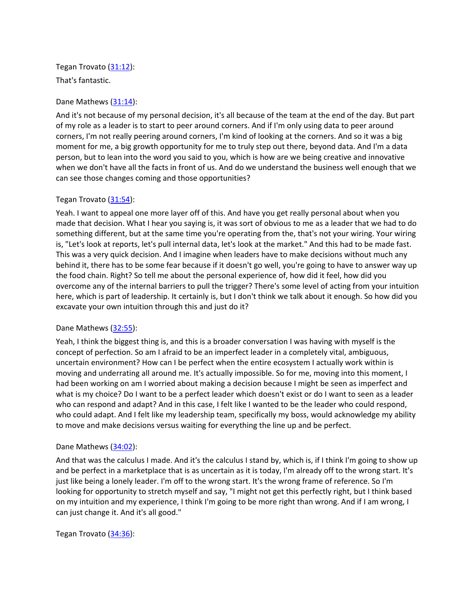# Tegan Trovato [\(31:12\)](https://www.rev.com/transcript-editor/Edit?token=QoR5bxp6PambQ7r9Kldy_KhNh_C6lDqf3vTfwL-IDzNaDCH-kOimrkjgYAKmn_i_yP9JuTE9TTbkRHMew7acrI_2wr4&loadFrom=DocumentDeeplink&ts=1872.96):

That's fantastic.

# Dane Mathews [\(31:14\)](https://www.rev.com/transcript-editor/Edit?token=btU-7-p0bTSGESiMzvv9QW_vTMJajy6NJ8Gs0MJ2bRxcAY3Og2Na2UwiLZT2pVEpeoEl9n-cR0a3OR829bSCVmhScpE&loadFrom=DocumentDeeplink&ts=1874.57):

And it's not because of my personal decision, it's all because of the team at the end of the day. But part of my role as a leader is to start to peer around corners. And if I'm only using data to peer around corners, I'm not really peering around corners, I'm kind of looking at the corners. And so it was a big moment for me, a big growth opportunity for me to truly step out there, beyond data. And I'm a data person, but to lean into the word you said to you, which is how are we being creative and innovative when we don't have all the facts in front of us. And do we understand the business well enough that we can see those changes coming and those opportunities?

# Tegan Trovato [\(31:54\)](https://www.rev.com/transcript-editor/Edit?token=3tQ_wmJyLv1nHqwH4uyfkLuivtswznfXiOymhM4NJQz0yyWUrdZzLU978K4CxqrPT4CAm9UN5G1IGYWhgAC7vL700-I&loadFrom=DocumentDeeplink&ts=1914.48):

Yeah. I want to appeal one more layer off of this. And have you get really personal about when you made that decision. What I hear you saying is, it was sort of obvious to me as a leader that we had to do something different, but at the same time you're operating from the, that's not your wiring. Your wiring is, "Let's look at reports, let's pull internal data, let's look at the market." And this had to be made fast. This was a very quick decision. And I imagine when leaders have to make decisions without much any behind it, there has to be some fear because if it doesn't go well, you're going to have to answer way up the food chain. Right? So tell me about the personal experience of, how did it feel, how did you overcome any of the internal barriers to pull the trigger? There's some level of acting from your intuition here, which is part of leadership. It certainly is, but I don't think we talk about it enough. So how did you excavate your own intuition through this and just do it?

## Dane Mathews [\(32:55\)](https://www.rev.com/transcript-editor/Edit?token=jd2UU7rBaV2SgrEWLEA80x352IlY78R-o1OMpv9WPYPptoGnMwud9hgTXJtTR6UapOff6aHMEp_-PE-bcQXd3QwW6vw&loadFrom=DocumentDeeplink&ts=1975.1):

Yeah, I think the biggest thing is, and this is a broader conversation I was having with myself is the concept of perfection. So am I afraid to be an imperfect leader in a completely vital, ambiguous, uncertain environment? How can I be perfect when the entire ecosystem I actually work within is moving and underrating all around me. It's actually impossible. So for me, moving into this moment, I had been working on am I worried about making a decision because I might be seen as imperfect and what is my choice? Do I want to be a perfect leader which doesn't exist or do I want to seen as a leader who can respond and adapt? And in this case, I felt like I wanted to be the leader who could respond, who could adapt. And I felt like my leadership team, specifically my boss, would acknowledge my ability to move and make decisions versus waiting for everything the line up and be perfect.

## Dane Mathews [\(34:02\)](https://www.rev.com/transcript-editor/Edit?token=kKy7_MvqX4Ev8Qdc5c9pMD6mqzERp89s9GUj6WyVm05Yx31btsm5vV3G9X--imy8o7GCYQzGYKV-ApVOs_0M58zGmm8&loadFrom=DocumentDeeplink&ts=2042.62):

And that was the calculus I made. And it's the calculus I stand by, which is, if I think I'm going to show up and be perfect in a marketplace that is as uncertain as it is today, I'm already off to the wrong start. It's just like being a lonely leader. I'm off to the wrong start. It's the wrong frame of reference. So I'm looking for opportunity to stretch myself and say, "I might not get this perfectly right, but I think based on my intuition and my experience, I think I'm going to be more right than wrong. And if I am wrong, I can just change it. And it's all good."

Tegan Trovato [\(34:36\)](https://www.rev.com/transcript-editor/Edit?token=m_4DJg45JbAz9VSac-VJcp0u4egOAvhhKwkxJPHth91gKROg0CFOMYI4Sw1_IoRZQplqwf9JsSJlpYy3w-0xS0aoOJs&loadFrom=DocumentDeeplink&ts=2076.27):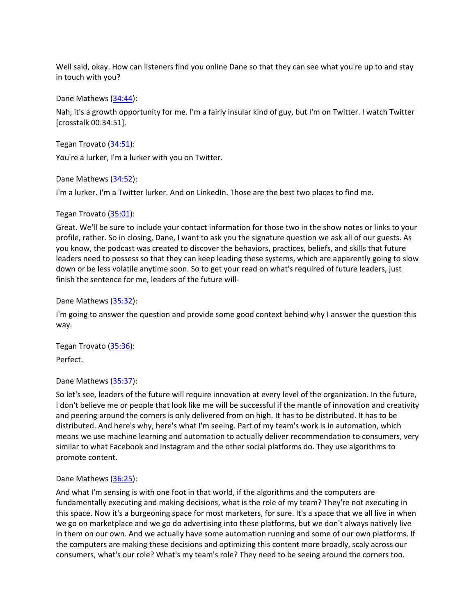Well said, okay. How can listeners find you online Dane so that they can see what you're up to and stay in touch with you?

Dane Mathews [\(34:44\)](https://www.rev.com/transcript-editor/Edit?token=dxzAPxZ0yNYs7i7K7AxBqieH8Q5CFuQqdC-ar-ng74hRwwmGTMVbSCvZ4UyjAU4L61qUf1te2hdXAAHev5uWE5RtkZ4&loadFrom=DocumentDeeplink&ts=2084.35):

Nah, it's a growth opportunity for me. I'm a fairly insular kind of guy, but I'm on Twitter. I watch Twitter [crosstalk 00:34:51].

Tegan Trovato [\(34:51\)](https://www.rev.com/transcript-editor/Edit?token=HpZOqCXt1lPvA_G8FKlYLHyYW5YjlIVCkzB2ZTlosNpqpquNBxxTlanYKdjP4U5YuDVj2lNzb0uJENRdLobjSXZkfHI&loadFrom=DocumentDeeplink&ts=2091.49):

You're a lurker, I'm a lurker with you on Twitter.

Dane Mathews [\(34:52\)](https://www.rev.com/transcript-editor/Edit?token=5XQhEghfzTt1jZk6ZLLW2UWMXzyLW4HLUX-jgGxGi5oQ_uYp7OA0WfC8tTLQYmAs3kIyU04t8zjkoEVr551o0_lnuzM&loadFrom=DocumentDeeplink&ts=2092.63):

I'm a lurker. I'm a Twitter lurker. And on LinkedIn. Those are the best two places to find me.

Tegan Trovato [\(35:01\)](https://www.rev.com/transcript-editor/Edit?token=Jlk0ibwPt5Z8nEIn-6TRg1vuw-gguG_VFgFNTSc-dK4cr60TJZIqrPq02j6MU3dv7YLU75CM-8ukhxINikw_HBk38QE&loadFrom=DocumentDeeplink&ts=2101.6):

Great. We'll be sure to include your contact information for those two in the show notes or links to your profile, rather. So in closing, Dane, I want to ask you the signature question we ask all of our guests. As you know, the podcast was created to discover the behaviors, practices, beliefs, and skills that future leaders need to possess so that they can keep leading these systems, which are apparently going to slow down or be less volatile anytime soon. So to get your read on what's required of future leaders, just finish the sentence for me, leaders of the future will-

Dane Mathews [\(35:32\)](https://www.rev.com/transcript-editor/Edit?token=JF7efcDD-CIrSYA8RpPz-_Cf9Bn35yCxateRXVdVR88PGMxuBoksLdyG_31hJf12Qu78jwSmRAicWl3s9jSYx073p5Q&loadFrom=DocumentDeeplink&ts=2132.73):

I'm going to answer the question and provide some good context behind why I answer the question this way.

Tegan Trovato [\(35:36\)](https://www.rev.com/transcript-editor/Edit?token=k_gbmKmuEl2YrjVpsEQxtaqZRGyOOoIGT0AhrlCC0Kx-_LA5VUw4LiBKWgMOb5nRODhaVh9UZGp__1XBGx8HsN6m_S4&loadFrom=DocumentDeeplink&ts=2136.53): Perfect.

## Dane Mathews [\(35:37\)](https://www.rev.com/transcript-editor/Edit?token=BXkhlabQrGarOY5aWUp_Q-pG7HwQOL3Dnr_H691gWHNSdfUijkPnk6WeohCJCKB710bInTHNqB6voosHs59K_U1AjPA&loadFrom=DocumentDeeplink&ts=2137.06):

So let's see, leaders of the future will require innovation at every level of the organization. In the future, I don't believe me or people that look like me will be successful if the mantle of innovation and creativity and peering around the corners is only delivered from on high. It has to be distributed. It has to be distributed. And here's why, here's what I'm seeing. Part of my team's work is in automation, which means we use machine learning and automation to actually deliver recommendation to consumers, very similar to what Facebook and Instagram and the other social platforms do. They use algorithms to promote content.

## Dane Mathews [\(36:25\)](https://www.rev.com/transcript-editor/Edit?token=4udunOBvwsS7y5LQ2p9m18d0aR8tQns_7FgMzaEH8XiLvyYpM7oCwac2n9x8fhS9dD8qf2SjkuNaQnl9XgXZVQZG1ME&loadFrom=DocumentDeeplink&ts=2185.2):

And what I'm sensing is with one foot in that world, if the algorithms and the computers are fundamentally executing and making decisions, what is the role of my team? They're not executing in this space. Now it's a burgeoning space for most marketers, for sure. It's a space that we all live in when we go on marketplace and we go do advertising into these platforms, but we don't always natively live in them on our own. And we actually have some automation running and some of our own platforms. If the computers are making these decisions and optimizing this content more broadly, scaly across our consumers, what's our role? What's my team's role? They need to be seeing around the corners too.